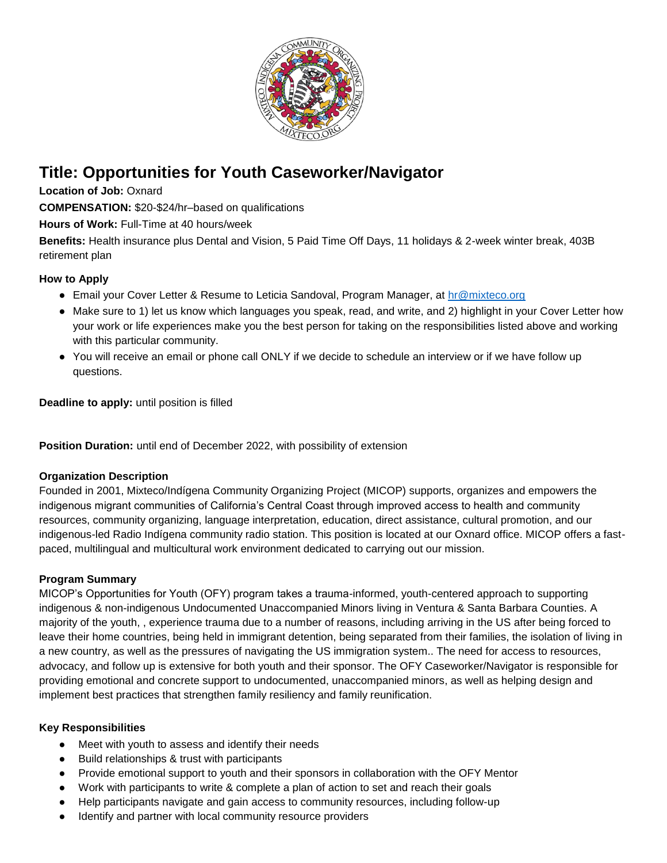

# **Title: Opportunities for Youth Caseworker/Navigator**

**Location of Job:** Oxnard

**COMPENSATION:** \$20-\$24/hr–based on qualifications

**Hours of Work:** Full-Time at 40 hours/week

**Benefits:** Health insurance plus Dental and Vision, 5 Paid Time Off Days, 11 holidays & 2-week winter break, 403B retirement plan

## **How to Apply**

- Email your Cover Letter & Resume to Leticia Sandoval, Program Manager, at hr@mixteco.org
- Make sure to 1) let us know which languages you speak, read, and write, and 2) highlight in your Cover Letter how your work or life experiences make you the best person for taking on the responsibilities listed above and working with this particular community.
- You will receive an email or phone call ONLY if we decide to schedule an interview or if we have follow up questions.

**Deadline to apply:** until position is filled

**Position Duration:** until end of December 2022, with possibility of extension

### **Organization Description**

Founded in 2001, Mixteco/Indígena Community Organizing Project (MICOP) supports, organizes and empowers the indigenous migrant communities of California's Central Coast through improved access to health and community resources, community organizing, language interpretation, education, direct assistance, cultural promotion, and our indigenous-led Radio Indígena community radio station. This position is located at our Oxnard office. MICOP offers a fastpaced, multilingual and multicultural work environment dedicated to carrying out our mission.

### **Program Summary**

MICOP's Opportunities for Youth (OFY) program takes a trauma-informed, youth-centered approach to supporting indigenous & non-indigenous Undocumented Unaccompanied Minors living in Ventura & Santa Barbara Counties. A majority of the youth, , experience trauma due to a number of reasons, including arriving in the US after being forced to leave their home countries, being held in immigrant detention, being separated from their families, the isolation of living in a new country, as well as the pressures of navigating the US immigration system.. The need for access to resources, advocacy, and follow up is extensive for both youth and their sponsor. The OFY Caseworker/Navigator is responsible for providing emotional and concrete support to undocumented, unaccompanied minors, as well as helping design and implement best practices that strengthen family resiliency and family reunification.

### **Key Responsibilities**

- Meet with youth to assess and identify their needs
- Build relationships & trust with participants
- Provide emotional support to youth and their sponsors in collaboration with the OFY Mentor
- Work with participants to write & complete a plan of action to set and reach their goals
- Help participants navigate and gain access to community resources, including follow-up
- Identify and partner with local community resource providers